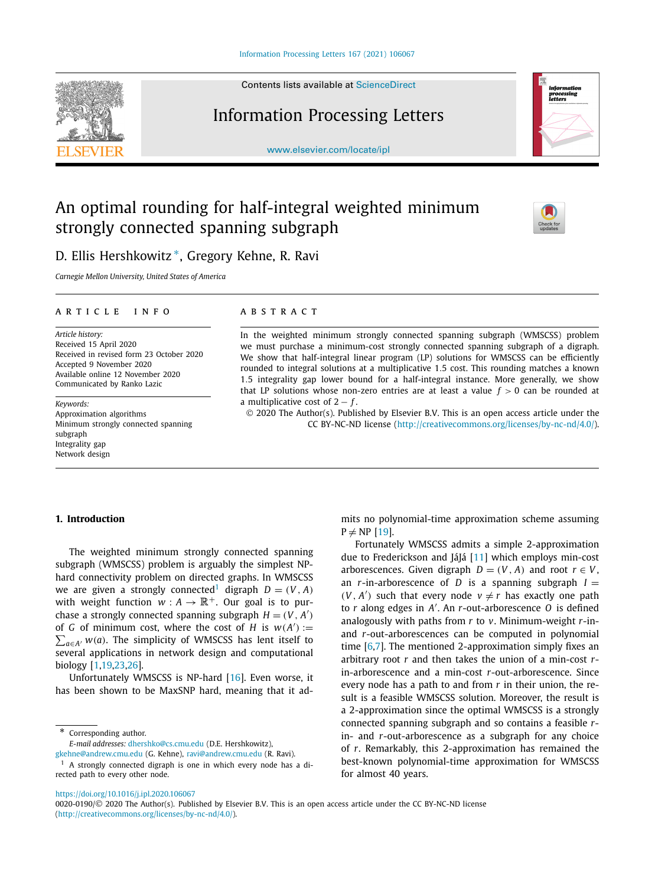Contents lists available at [ScienceDirect](http://www.ScienceDirect.com/)

# Information Processing Letters

[www.elsevier.com/locate/ipl](http://www.elsevier.com/locate/ipl)



D. Ellis Hershkowitz <sup>∗</sup>, Gregory Kehne, R. Ravi

*Carnegie Mellon University, United States of America*

# A R T I C L E I N F O A B S T R A C T

*Article history:* Received 15 April 2020 Received in revised form 23 October 2020 Accepted 9 November 2020 Available online 12 November 2020 Communicated by Ranko Lazic

*Keywords:* Approximation algorithms Minimum strongly connected spanning subgraph Integrality gap Network design

In the weighted minimum strongly connected spanning subgraph (WMSCSS) problem we must purchase a minimum-cost strongly connected spanning subgraph of a digraph. We show that half-integral linear program (LP) solutions for WMSCSS can be efficiently rounded to integral solutions at a multiplicative 1*.*5 cost. This rounding matches a known 1*.*5 integrality gap lower bound for a half-integral instance. More generally, we show that LP solutions whose non-zero entries are at least a value *f >* 0 can be rounded at a multiplicative cost of 2 − *f* .

© 2020 The Author(s). Published by Elsevier B.V. This is an open access article under the CC BY-NC-ND license [\(http://creativecommons.org/licenses/by-nc-nd/4.0/\)](http://creativecommons.org/licenses/by-nc-nd/4.0/).

## **1. Introduction**

The weighted minimum strongly connected spanning subgraph (WMSCSS) problem is arguably the simplest NPhard connectivity problem on directed graphs. In WMSCSS we are given a strongly connected<sup>1</sup> digraph  $D = (V, A)$ with weight function  $w : A \rightarrow \mathbb{R}^+$ . Our goal is to purchase a strongly connected spanning subgraph  $H = (V, A')$ of *G* of minimum cost, where the cost of *H* is  $w(A') :=$  $\sum_{a \in A'} w(a)$ . The simplicity of WMSCSS has lent itself to several applications in network design and computational biology [[1,19](#page-2-0)[,23,26\]](#page-3-0).

Unfortunately WMSCSS is NP-hard [\[16\]](#page-2-0). Even worse, it has been shown to be MaxSNP hard, meaning that it ad-

\* Corresponding author.

*E-mail addresses:* [dhershko@cs.cmu.edu](mailto:dhershko@cs.cmu.edu) (D.E. Hershkowitz),

mits no polynomial-time approximation scheme assuming  $P \neq NP$  [\[19\]](#page-2-0).

Fortunately WMSCSS admits a simple 2-approximation due to Frederickson and JáJá [[11\]](#page-2-0) which employs min-cost arborescences. Given digraph  $D = (V, A)$  and root  $r \in V$ , an  $r$ -in-arborescence of  $D$  is a spanning subgraph  $I =$  $(V, A')$  such that every node  $v \neq r$  has exactly one path to *r* along edges in *A* . An *r*-out-arborescence *O* is defined analogously with paths from *r* to *v*. Minimum-weight *r*-inand *r*-out-arborescences can be computed in polynomial time [[6,7\]](#page-2-0). The mentioned 2-approximation simply fixes an arbitrary root *r* and then takes the union of a min-cost *r*in-arborescence and a min-cost *r*-out-arborescence. Since every node has a path to and from *r* in their union, the result is a feasible WMSCSS solution. Moreover, the result is a 2-approximation since the optimal WMSCSS is a strongly connected spanning subgraph and so contains a feasible *r*in- and *r*-out-arborescence as a subgraph for any choice of *r*. Remarkably, this 2-approximation has remained the best-known polynomial-time approximation for WMSCSS for almost 40 years.

<https://doi.org/10.1016/j.ipl.2020.106067>

0020-0190/© 2020 The Author(s). Published by Elsevier B.V. This is an open access article under the CC BY-NC-ND license [\(http://creativecommons.org/licenses/by-nc-nd/4.0/\)](http://creativecommons.org/licenses/by-nc-nd/4.0/).





[gkehne@andrew.cmu.edu](mailto:gkehne@andrew.cmu.edu) (G. Kehne), [ravi@andrew.cmu.edu](mailto:ravi@andrew.cmu.edu) (R. Ravi). <sup>1</sup> A strongly connected digraph is one in which every node has a directed path to every other node.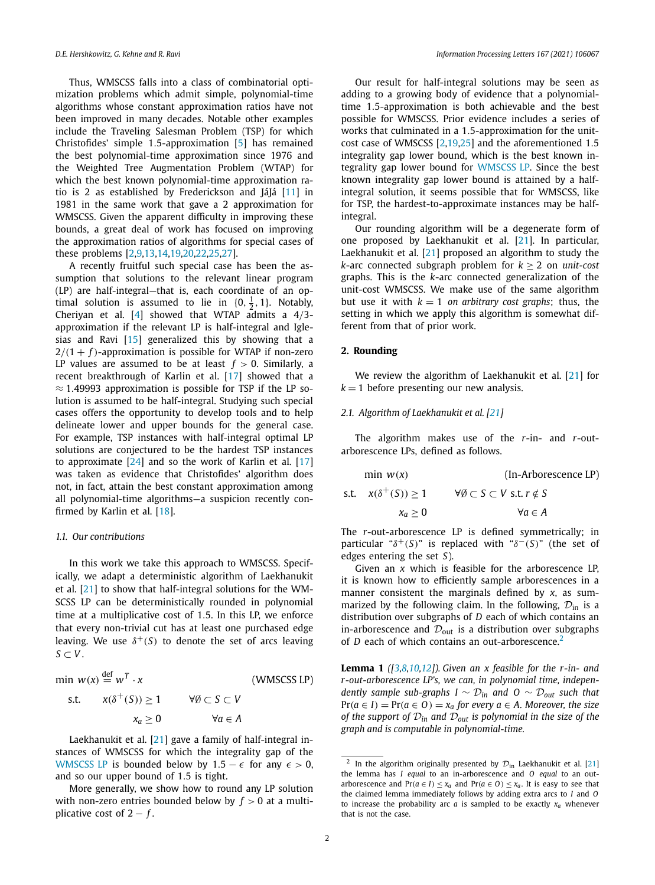<span id="page-1-0"></span>Thus, WMSCSS falls into a class of combinatorial optimization problems which admit simple, polynomial-time algorithms whose constant approximation ratios have not been improved in many decades. Notable other examples include the Traveling Salesman Problem (TSP) for which Christofides' simple 1*.*5-approximation [\[5](#page-2-0)] has remained the best polynomial-time approximation since 1976 and the Weighted Tree Augmentation Problem (WTAP) for which the best known polynomial-time approximation ratio is 2 as established by Frederickson and JáJá [\[11](#page-2-0)] in 1981 in the same work that gave a 2 approximation for WMSCSS. Given the apparent difficulty in improving these bounds, a great deal of work has focused on improving the approximation ratios of algorithms for special cases of these problems [\[2,9,13,14,19,](#page-2-0)[20,22,25,27\]](#page-3-0).

A recently fruitful such special case has been the assumption that solutions to the relevant linear program (LP) are half-integral—that is, each coordinate of an optimal solution is assumed to lie in  $\{0, \frac{1}{2}, 1\}$ . Notably, Cheriyan et al. [[4](#page-2-0)] showed that WTAP admits a 4*/*3 approximation if the relevant LP is half-integral and Iglesias and Ravi [[15](#page-2-0)] generalized this by showing that a  $2/(1 + f)$ -approximation is possible for WTAP if non-zero LP values are assumed to be at least  $f > 0$ . Similarly, a recent breakthrough of Karlin et al. [[17](#page-2-0)] showed that a ≈ 1*.*49993 approximation is possible for TSP if the LP solution is assumed to be half-integral. Studying such special cases offers the opportunity to develop tools and to help delineate lower and upper bounds for the general case. For example, TSP instances with half-integral optimal LP solutions are conjectured to be the hardest TSP instances to approximate  $[24]$  $[24]$  and so the work of Karlin et al.  $[17]$  $[17]$ was taken as evidence that Christofides' algorithm does not, in fact, attain the best constant approximation among all polynomial-time algorithms—a suspicion recently confirmed by Karlin et al. [[18](#page-2-0)].

### *1.1. Our contributions*

In this work we take this approach to WMSCSS. Specifically, we adapt a deterministic algorithm of Laekhanukit et al. [\[21](#page-3-0)] to show that half-integral solutions for the WM-SCSS LP can be deterministically rounded in polynomial time at a multiplicative cost of 1*.*5. In this LP, we enforce that every non-trivial cut has at least one purchased edge leaving. We use  $\delta^{+}(S)$  to denote the set of arcs leaving *S* ⊂ *V* .

| min $w(x) \stackrel{\text{def}}{=} w^T \cdot x$ |                              |                                         | (WMSCSS LP) |
|-------------------------------------------------|------------------------------|-----------------------------------------|-------------|
|                                                 | s.t. $x(\delta^+(S)) \geq 1$ | $\forall \emptyset \subset S \subset V$ |             |
|                                                 | $x_a > 0$                    | $\forall a \in A$                       |             |

Laekhanukit et al. [\[21](#page-3-0)] gave a family of half-integral instances of WMSCSS for which the integrality gap of the WMSCSS LP is bounded below by  $1.5 - \epsilon$  for any  $\epsilon > 0$ , and so our upper bound of 1*.*5 is tight.

More generally, we show how to round any LP solution with non-zero entries bounded below by *f >* 0 at a multiplicative cost of  $2 - f$ .

Our result for half-integral solutions may be seen as adding to a growing body of evidence that a polynomialtime 1*.*5-approximation is both achievable and the best possible for WMSCSS. Prior evidence includes a series of works that culminated in a 1*.*5-approximation for the unitcost case of WMSCSS [\[2,19](#page-2-0)[,25](#page-3-0)] and the aforementioned 1*.*5 integrality gap lower bound, which is the best known integrality gap lower bound for WMSCSS LP. Since the best known integrality gap lower bound is attained by a halfintegral solution, it seems possible that for WMSCSS, like for TSP, the hardest-to-approximate instances may be halfintegral.

Our rounding algorithm will be a degenerate form of one proposed by Laekhanukit et al. [\[21](#page-3-0)]. In particular, Laekhanukit et al. [\[21\]](#page-3-0) proposed an algorithm to study the *k*-arc connected subgraph problem for  $k \geq 2$  on *unit-cost* graphs. This is the *k*-arc connected generalization of the unit-cost WMSCSS. We make use of the same algorithm but use it with  $k = 1$  *on arbitrary cost graphs*; thus, the setting in which we apply this algorithm is somewhat different from that of prior work.

# **2. Rounding**

We review the algorithm of Laekhanukit et al. [\[21\]](#page-3-0) for  $k = 1$  before presenting our new analysis.

# *2.1. Algorithm of Laekhanukit et al. [[21\]](#page-3-0)*

The algorithm makes use of the *r*-in- and *r*-outarborescence LPs, defined as follows.

| min $w(x)$ |                           | (In-Arborescence LP)                                      |  |
|------------|---------------------------|-----------------------------------------------------------|--|
|            | s.t. $x(\delta^+(S)) > 1$ | $\forall \emptyset \subset S \subset V$ s.t. $r \notin S$ |  |
|            | $x_a > 0$                 | $\forall a \in A$                                         |  |

The *r*-out-arborescence LP is defined symmetrically; in particular " $\delta^{+}(S)$ " is replaced with " $\delta^{-}(S)$ " (the set of edges entering the set *S*).

Given an *x* which is feasible for the arborescence LP, it is known how to efficiently sample arborescences in a manner consistent the marginals defined by *x*, as summarized by the following claim. In the following,  $\mathcal{D}_{\text{in}}$  is a distribution over subgraphs of *D* each of which contains an in-arborescence and  $\mathcal{D}_{\text{out}}$  is a distribution over subgraphs of *D* each of which contains an out-arborescence.<sup>2</sup>

**Lemma 1** *([[3](#page-2-0),[8,10](#page-2-0),[12\]](#page-2-0)). Given an x feasible for the r-in- and r-out-arborescence LP's, we can, in polynomial time, independently sample sub-graphs I* ∼  $\mathcal{D}_{in}$  *and*  $0 \sim \mathcal{D}_{out}$  *such that*  $Pr(a \in I) = Pr(a \in O) = x_a$  *for every*  $a \in A$ *. Moreover, the size of the support of* D*in and* D*out is polynomial in the size of the graph and is computable in polynomial-time.*

<sup>&</sup>lt;sup>2</sup> In the algorithm originally presented by  $\mathcal{D}_{in}$  Laekhanukit et al. [[21\]](#page-3-0) the lemma has *I equal* to an in-arborescence and *O equal* to an outarborescence and  $Pr(a \in I) \le x_a$  and  $Pr(a \in O) \le x_a$ . It is easy to see that the claimed lemma immediately follows by adding extra arcs to *I* and *O* to increase the probability arc *a* is sampled to be exactly *xa* whenever that is not the case.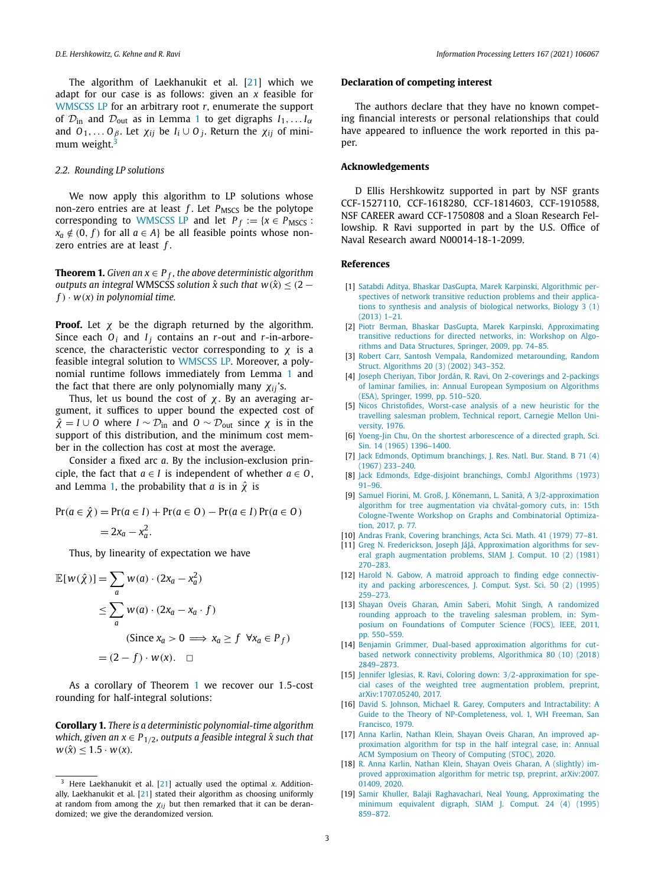<span id="page-2-0"></span>The algorithm of Laekhanukit et al. [[21\]](#page-3-0) which we adapt for our case is as follows: given an *x* feasible for [WMSCSS](#page-1-0) LP for an arbitrary root *r*, enumerate the support of  $\mathcal{D}_{in}$  and  $\mathcal{D}_{out}$  as in Lemma [1](#page-1-0) to get digraphs  $I_1, \ldots I_\alpha$ and  $O_1, \ldots O_\beta$ . Let  $\chi_{ij}$  be  $I_i \cup O_j$ . Return the  $\chi_{ij}$  of minimum weight. $3$ 

#### *2.2. Rounding LP solutions*

We now apply this algorithm to LP solutions whose non-zero entries are at least *f*. Let *P<sub>MSCS</sub>* be the polytope corresponding to [WMSCSS](#page-1-0) LP and let  $P_f := \{x \in P_{\text{MSCS}}:$  $x_a \notin (0, f)$  for all  $a \in A$ } be all feasible points whose nonzero entries are at least *f* .

**Theorem 1.** *Given an*  $x \in P_f$ , *the above deterministic algorithm outputs an integral* WMSCSS *solution*  $\hat{x}$  *such that*  $w(\hat{x}) \leq (2 - \hat{y})$  $f$   $\cdot$   $w(x)$  *in polynomial time.* 

**Proof.** Let  $\chi$  be the digraph returned by the algorithm. Since each  $O_i$  and  $I_j$  contains an *r*-out and *r*-in-arborescence, the characteristic vector corresponding to *χ* is a feasible integral solution to [WMSCSS](#page-1-0) LP. Moreover, a polynomial runtime follows immediately from Lemma [1](#page-1-0) and the fact that there are only polynomially many *χij* 's.

Thus, let us bound the cost of *χ*. By an averaging argument, it suffices to upper bound the expected cost of  $\hat{\chi}$  = *I* ∪ *O* where *I* ∼  $\mathcal{D}_{in}$  and *O* ∼  $\mathcal{D}_{out}$  since  $\chi$  is in the support of this distribution, and the minimum cost member in the collection has cost at most the average.

Consider a fixed arc *a*. By the inclusion-exclusion principle, the fact that  $a \in I$  is independent of whether  $a \in O$ , and Lemma [1](#page-1-0), the probability that *a* is in  $\hat{\chi}$  is

$$
Pr(a \in \hat{\chi}) = Pr(a \in I) + Pr(a \in O) - Pr(a \in I) Pr(a \in O)
$$

$$
= 2x_a - x_a^2.
$$

Thus, by linearity of expectation we have

$$
\mathbb{E}[w(\hat{\chi})] = \sum_{a} w(a) \cdot (2x_a - x_a^2)
$$
  
\n
$$
\leq \sum_{a} w(a) \cdot (2x_a - x_a \cdot f)
$$
  
\n(Since  $x_a > 0 \implies x_a \geq f \quad \forall x_a \in P_f$ )  
\n
$$
= (2 - f) \cdot w(x). \quad \Box
$$

As a corollary of Theorem 1 we recover our 1*.*5-cost rounding for half-integral solutions:

**Corollary 1.** *There is a deterministic polynomial-time algorithm which, given an*  $x \in P_{1/2}$ *, outputs a feasible integral*  $\hat{x}$  *such that*  $w(\hat{x}) \leq 1.5 \cdot w(x)$ .

# **Declaration of competing interest**

The authors declare that they have no known competing financial interests or personal relationships that could have appeared to influence the work reported in this paper.

# **Acknowledgements**

D Ellis Hershkowitz supported in part by NSF grants CCF-1527110, CCF-1618280, CCF-1814603, CCF-1910588, NSF CAREER award CCF-1750808 and a Sloan Research Fellowship. R Ravi supported in part by the U.S. Office of Naval Research award N00014-18-1-2099.

# **References**

- [1] Satabdi Aditya, Bhaskar DasGupta, Marek Karpinski, [Algorithmic](http://refhub.elsevier.com/S0020-0190(20)30154-X/bib462955F7E393C38799102AF3071B95B0s1) perspectives of network transitive [reduction](http://refhub.elsevier.com/S0020-0190(20)30154-X/bib462955F7E393C38799102AF3071B95B0s1) problems and their applications to synthesis and analysis of biological [networks,](http://refhub.elsevier.com/S0020-0190(20)30154-X/bib462955F7E393C38799102AF3071B95B0s1) Biology 3 (1) [\(2013\)](http://refhub.elsevier.com/S0020-0190(20)30154-X/bib462955F7E393C38799102AF3071B95B0s1) 1–21.
- [2] Piotr Berman, Bhaskar DasGupta, Marek Karpinski, [Approximating](http://refhub.elsevier.com/S0020-0190(20)30154-X/bib90D609DB54597D5436D3F8F774354DF3s1) transitive [reductions](http://refhub.elsevier.com/S0020-0190(20)30154-X/bib90D609DB54597D5436D3F8F774354DF3s1) for directed networks, in: Workshop on Algorithms and Data [Structures,](http://refhub.elsevier.com/S0020-0190(20)30154-X/bib90D609DB54597D5436D3F8F774354DF3s1) Springer, 2009, pp. 74–85.
- [3] Robert Carr, Santosh Vempala, Randomized [metarounding,](http://refhub.elsevier.com/S0020-0190(20)30154-X/bibB55FC1A3BBA37C5EDFFCE9FDD4FAEE3Bs1) Random Struct. [Algorithms](http://refhub.elsevier.com/S0020-0190(20)30154-X/bibB55FC1A3BBA37C5EDFFCE9FDD4FAEE3Bs1) 20 (3) (2002) 343–352.
- [4] Joseph Cheriyan, Tibor Jordán, R. Ravi, On [2-coverings](http://refhub.elsevier.com/S0020-0190(20)30154-X/bib780E2ED582896B315F8BEEAFC90080C6s1) and 2-packings of laminar families, in: Annual European [Symposium](http://refhub.elsevier.com/S0020-0190(20)30154-X/bib780E2ED582896B315F8BEEAFC90080C6s1) on Algorithms (ESA), Springer, 1999, [pp. 510–520.](http://refhub.elsevier.com/S0020-0190(20)30154-X/bib780E2ED582896B315F8BEEAFC90080C6s1)
- [5] Nicos [Christofides,](http://refhub.elsevier.com/S0020-0190(20)30154-X/bibA227ABBBE925834C2996C18D31FCDE35s1) Worst-case analysis of a new heuristic for the [travelling](http://refhub.elsevier.com/S0020-0190(20)30154-X/bibA227ABBBE925834C2996C18D31FCDE35s1) salesman problem, Technical report, Carnegie Mellon Uni[versity,](http://refhub.elsevier.com/S0020-0190(20)30154-X/bibA227ABBBE925834C2996C18D31FCDE35s1) 1976.
- [6] Yoeng-Jin Chu, On the shortest [arborescence](http://refhub.elsevier.com/S0020-0190(20)30154-X/bibF3C3E3B4CC7C88859BE29553B28DD48As1) of a directed graph, Sci. Sin. 14 (1965) [1396–1400.](http://refhub.elsevier.com/S0020-0190(20)30154-X/bibF3C3E3B4CC7C88859BE29553B28DD48As1)
- [7] Jack Edmonds, Optimum [branchings,](http://refhub.elsevier.com/S0020-0190(20)30154-X/bib3C8F0D47AAE4D944853805FB69670C9Fs1) J. Res. Natl. Bur. Stand. B 71 (4) (1967) [233–240.](http://refhub.elsevier.com/S0020-0190(20)30154-X/bib3C8F0D47AAE4D944853805FB69670C9Fs1)
- [8] Jack Edmonds, [Edge-disjoint](http://refhub.elsevier.com/S0020-0190(20)30154-X/bibC99E96339AFA1CA291964213472B5BC1s1) branchings, Comb.l Algorithms (1973) [91–96.](http://refhub.elsevier.com/S0020-0190(20)30154-X/bibC99E96339AFA1CA291964213472B5BC1s1)
- [9] Samuel Fiorini, M. Groß, J. Könemann, L. Sanità, A [3/2-approximation](http://refhub.elsevier.com/S0020-0190(20)30154-X/bib364ED4B5B6FD299729AA68EA01B4154As1) algorithm for tree augmentation via [chvátal-gomory](http://refhub.elsevier.com/S0020-0190(20)30154-X/bib364ED4B5B6FD299729AA68EA01B4154As1) cuts, in: 15th [Cologne-Twente](http://refhub.elsevier.com/S0020-0190(20)30154-X/bib364ED4B5B6FD299729AA68EA01B4154As1) Workshop on Graphs and Combinatorial Optimization, [2017,](http://refhub.elsevier.com/S0020-0190(20)30154-X/bib364ED4B5B6FD299729AA68EA01B4154As1) p. 77.
- [10] Andras Frank, Covering [branchings,](http://refhub.elsevier.com/S0020-0190(20)30154-X/bib1B84FAD0BDAA3A54DE31BF520CB029C7s1) Acta Sci. Math. 41 (1979) 77–81.
- [11] Greg N. Frederickson, Joseph JáJá, [Approximation](http://refhub.elsevier.com/S0020-0190(20)30154-X/bib3D207A50540557EC5BA093AAD5387FE6s1) algorithms for several graph [augmentation](http://refhub.elsevier.com/S0020-0190(20)30154-X/bib3D207A50540557EC5BA093AAD5387FE6s1) problems, SIAM J. Comput. 10 (2) (1981) [270–283.](http://refhub.elsevier.com/S0020-0190(20)30154-X/bib3D207A50540557EC5BA093AAD5387FE6s1)
- [12] Harold N. Gabow, A matroid approach to finding edge [connectiv](http://refhub.elsevier.com/S0020-0190(20)30154-X/bibAD8F3002FF828EC13885C731F66DC100s1)ity and packing [arborescences,](http://refhub.elsevier.com/S0020-0190(20)30154-X/bibAD8F3002FF828EC13885C731F66DC100s1) J. Comput. Syst. Sci. 50 (2) (1995) [259–273.](http://refhub.elsevier.com/S0020-0190(20)30154-X/bibAD8F3002FF828EC13885C731F66DC100s1)
- [13] Shayan Oveis Gharan, Amin Saberi, Mohit Singh, A [randomized](http://refhub.elsevier.com/S0020-0190(20)30154-X/bib289ABDCE1BB3808C05B8D968F89CA68As1) rounding approach to the traveling [salesman](http://refhub.elsevier.com/S0020-0190(20)30154-X/bib289ABDCE1BB3808C05B8D968F89CA68As1) problem, in: Symposium on [Foundations](http://refhub.elsevier.com/S0020-0190(20)30154-X/bib289ABDCE1BB3808C05B8D968F89CA68As1) of Computer Science (FOCS), IEEE, 2011, [pp. 550–559.](http://refhub.elsevier.com/S0020-0190(20)30154-X/bib289ABDCE1BB3808C05B8D968F89CA68As1)
- [14] Benjamin Grimmer, Dual-based [approximation](http://refhub.elsevier.com/S0020-0190(20)30154-X/bib4CF5AE7A0AC814C22C1E6145DB8817EDs1) algorithms for cutbased network connectivity problems, [Algorithmica](http://refhub.elsevier.com/S0020-0190(20)30154-X/bib4CF5AE7A0AC814C22C1E6145DB8817EDs1) 80 (10) (2018) [2849–2873.](http://refhub.elsevier.com/S0020-0190(20)30154-X/bib4CF5AE7A0AC814C22C1E6145DB8817EDs1)
- [15] Jennifer Iglesias, R. Ravi, Coloring down: 3*/*[2-approximation](http://refhub.elsevier.com/S0020-0190(20)30154-X/bib11D7E24CF7BB34AE53207688D32E656Fs1) for special cases of the weighted tree [augmentation](http://refhub.elsevier.com/S0020-0190(20)30154-X/bib11D7E24CF7BB34AE53207688D32E656Fs1) problem, preprint, [arXiv:1707.05240,](http://refhub.elsevier.com/S0020-0190(20)30154-X/bib11D7E24CF7BB34AE53207688D32E656Fs1) 2017.
- [16] David S. Johnson, Michael R. Garey, Computers and [Intractability:](http://refhub.elsevier.com/S0020-0190(20)30154-X/bib51AD831739A9810C0BAEB2A01E5450AEs1) A Guide to the Theory of [NP-Completeness,](http://refhub.elsevier.com/S0020-0190(20)30154-X/bib51AD831739A9810C0BAEB2A01E5450AEs1) vol. 1, WH Freeman, San [Francisco,](http://refhub.elsevier.com/S0020-0190(20)30154-X/bib51AD831739A9810C0BAEB2A01E5450AEs1) 1979.
- [17] Anna Karlin, Nathan Klein, Shayan Oveis Gharan, An [improved](http://refhub.elsevier.com/S0020-0190(20)30154-X/bib29985575A2EFBCC54444775AD9D144D1s1) ap[proximation](http://refhub.elsevier.com/S0020-0190(20)30154-X/bib29985575A2EFBCC54444775AD9D144D1s1) algorithm for tsp in the half integral case, in: Annual ACM [Symposium](http://refhub.elsevier.com/S0020-0190(20)30154-X/bib29985575A2EFBCC54444775AD9D144D1s1) on Theory of Computing (STOC), 2020.
- [18] R. Anna Karlin, Nathan Klein, Shayan Oveis Gharan, A [\(slightly\)](http://refhub.elsevier.com/S0020-0190(20)30154-X/bibA36834006299BA469FFB297DE49F7A8Fs1) improved [approximation](http://refhub.elsevier.com/S0020-0190(20)30154-X/bibA36834006299BA469FFB297DE49F7A8Fs1) algorithm for metric tsp, preprint, arXiv:2007. [01409,](http://refhub.elsevier.com/S0020-0190(20)30154-X/bibA36834006299BA469FFB297DE49F7A8Fs1) 2020.
- [19] Samir Khuller, Balaji Raghavachari, Neal Young, [Approximating](http://refhub.elsevier.com/S0020-0190(20)30154-X/bibAACBFBF8D65D7267B12DDA1ABB18B2D0s1) the minimum [equivalent](http://refhub.elsevier.com/S0020-0190(20)30154-X/bibAACBFBF8D65D7267B12DDA1ABB18B2D0s1) digraph, SIAM J. Comput. 24 (4) (1995) [859–872.](http://refhub.elsevier.com/S0020-0190(20)30154-X/bibAACBFBF8D65D7267B12DDA1ABB18B2D0s1)

<sup>3</sup> Here Laekhanukit et al. [[21](#page-3-0)] actually used the optimal *x*. Additionally, Laekhanukit et al. [\[21\]](#page-3-0) stated their algorithm as choosing uniformly at random from among the  $\chi_{ij}$  but then remarked that it can be derandomized; we give the derandomized version.